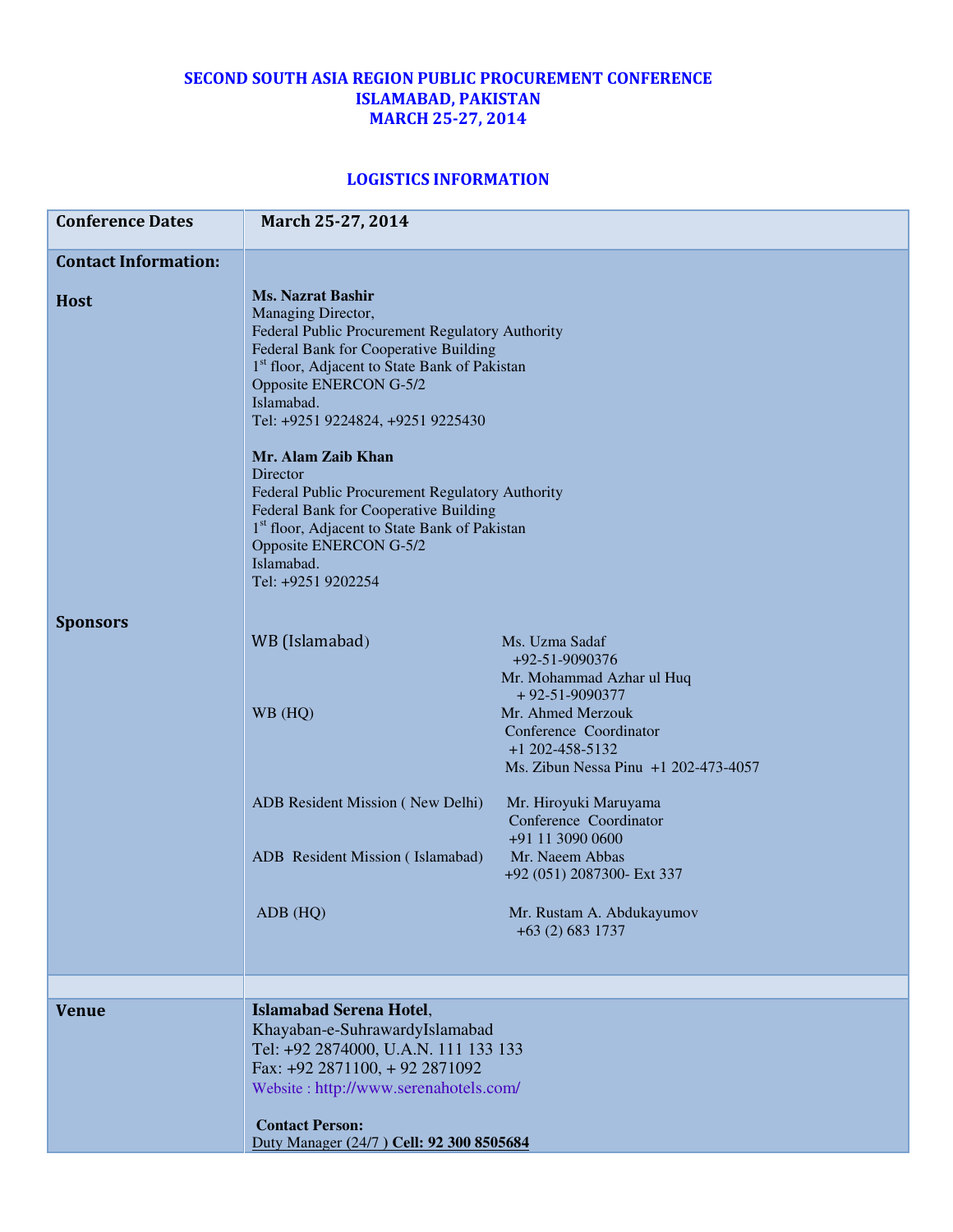## SECOND SOUTH ASIA REGION PUBLIC PROCUREMENT CONFERENCE ISLAMABAD, PAKISTAN MARCH 25-27, 2014

## LOGISTICS INFORMATION

| <b>Conference Dates</b>     | March 25-27, 2014                                                                                                                                                                                                                                                                    |                                                                                                          |
|-----------------------------|--------------------------------------------------------------------------------------------------------------------------------------------------------------------------------------------------------------------------------------------------------------------------------------|----------------------------------------------------------------------------------------------------------|
| <b>Contact Information:</b> |                                                                                                                                                                                                                                                                                      |                                                                                                          |
| <b>Host</b>                 | <b>Ms. Nazrat Bashir</b><br>Managing Director,<br>Federal Public Procurement Regulatory Authority<br>Federal Bank for Cooperative Building<br>1 <sup>st</sup> floor, Adjacent to State Bank of Pakistan<br>Opposite ENERCON G-5/2<br>Islamabad.<br>Tel: +9251 9224824, +9251 9225430 |                                                                                                          |
|                             | Mr. Alam Zaib Khan<br>Director<br>Federal Public Procurement Regulatory Authority<br>Federal Bank for Cooperative Building<br>1 <sup>st</sup> floor, Adjacent to State Bank of Pakistan<br>Opposite ENERCON G-5/2<br>Islamabad.<br>Tel: +9251 9202254                                |                                                                                                          |
| <b>Sponsors</b>             | WB (Islamabad)                                                                                                                                                                                                                                                                       | Ms. Uzma Sadaf<br>+92-51-9090376<br>Mr. Mohammad Azhar ul Huq<br>$+92 - 51 - 9090377$                    |
|                             | WB (HQ)                                                                                                                                                                                                                                                                              | Mr. Ahmed Merzouk<br>Conference Coordinator<br>$+1$ 202-458-5132<br>Ms. Zibun Nessa Pinu +1 202-473-4057 |
|                             | ADB Resident Mission (New Delhi)                                                                                                                                                                                                                                                     | Mr. Hiroyuki Maruyama<br>Conference Coordinator<br>+91 11 3090 0600                                      |
|                             | ADB Resident Mission (Islamabad)                                                                                                                                                                                                                                                     | Mr. Naeem Abbas<br>+92 (051) 2087300- Ext 337                                                            |
|                             | ADB (HQ)                                                                                                                                                                                                                                                                             | Mr. Rustam A. Abdukayumov<br>+63 (2) 683 1737                                                            |
|                             |                                                                                                                                                                                                                                                                                      |                                                                                                          |
| <b>Venue</b>                | <b>Islamabad Serena Hotel,</b><br>Khayaban-e-SuhrawardyIslamabad<br>Tel: +92 2874000, U.A.N. 111 133 133<br>Fax: +92 2871100, +92 2871092<br>Website: http://www.serenahotels.com/                                                                                                   |                                                                                                          |
|                             | <b>Contact Person:</b><br>Duty Manager (24/7) Cell: 92 300 8505684                                                                                                                                                                                                                   |                                                                                                          |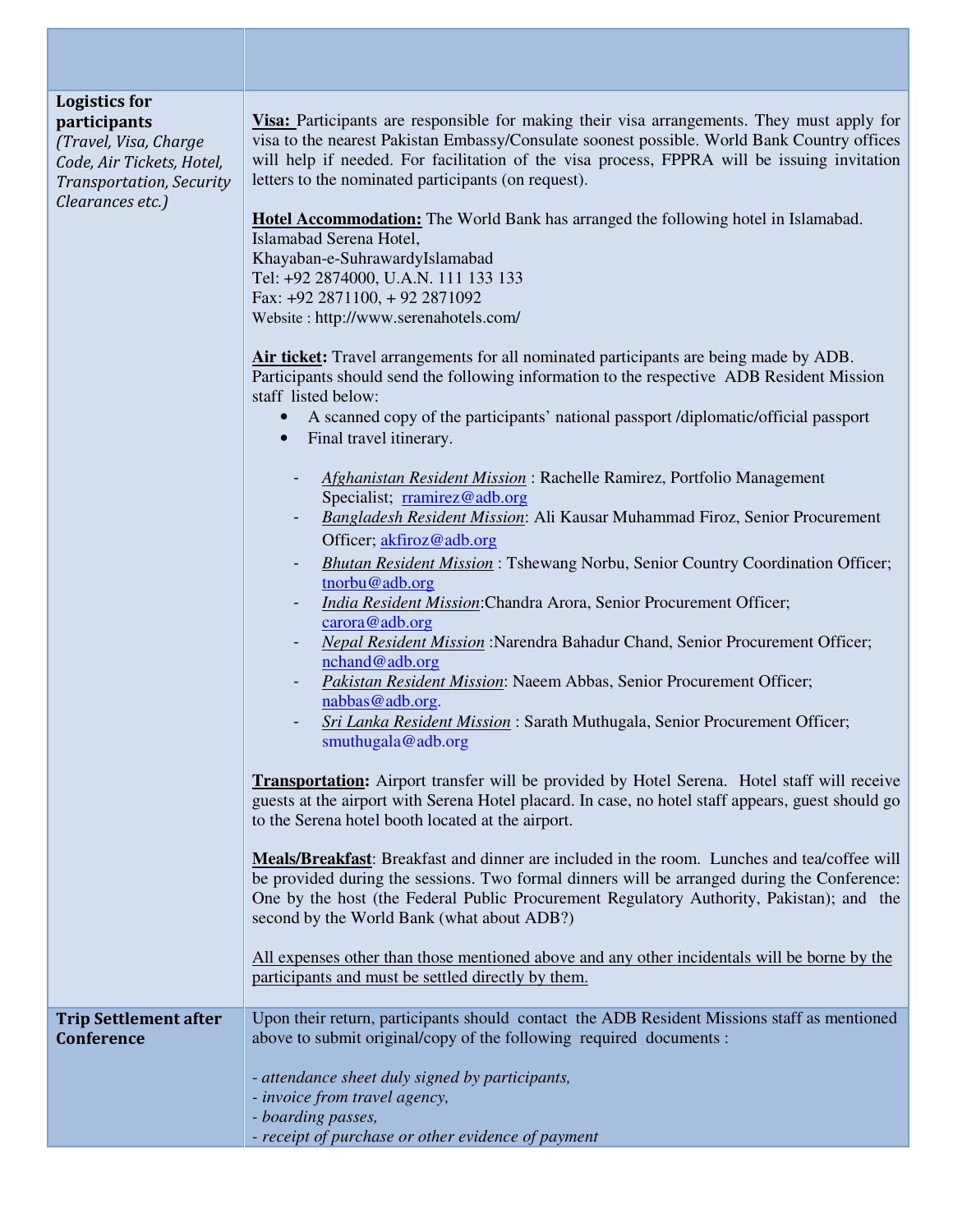## Logistics for participants

(Travel, Visa, Charge Code, Air Tickets, Hotel, Transportation, Security Clearances etc.)

**Visa:** Participants are responsible for making their visa arrangements. They must apply for visa to the nearest Pakistan Embassy/Consulate soonest possible. World Bank Country offices will help if needed. For facilitation of the visa process, FPPRA will be issuing invitation letters to the nominated participants (on request).

**Hotel Accommodation:** The World Bank has arranged the following hotel in Islamabad. Islamabad Serena Hotel, Khayaban-e-SuhrawardyIslamabad Tel: +92 2874000, U.A.N. 111 133 133 Fax: +92 2871100, + 92 2871092 Website : http://www.serenahotels.com/

**Air ticket:** Travel arrangements for all nominated participants are being made by ADB. Participants should send the following information to the respective ADB Resident Mission staff listed below:

- A scanned copy of the participants' national passport /diplomatic/official passport
- Final travel itinerary.
	- *Afghanistan Resident Mission* : Rachelle Ramirez, Portfolio Management Specialist; rramirez@adb.org
	- *Bangladesh Resident Mission*: Ali Kausar Muhammad Firoz, Senior Procurement Officer; akfiroz@adb.org
	- *Bhutan Resident Mission* : Tshewang Norbu, Senior Country Coordination Officer; tnorbu@adb.org
	- *India Resident Mission*:Chandra Arora, Senior Procurement Officer; carora@adb.org
	- *Nepal Resident Mission* :Narendra Bahadur Chand, Senior Procurement Officer; nchand@adb.org
	- *Pakistan Resident Mission*: Naeem Abbas, Senior Procurement Officer; nabbas@adb.org.
	- *Sri Lanka Resident Mission* : Sarath Muthugala, Senior Procurement Officer; smuthugala@adb.org

**Transportation:** Airport transfer will be provided by Hotel Serena. Hotel staff will receive guests at the airport with Serena Hotel placard. In case, no hotel staff appears, guest should go to the Serena hotel booth located at the airport.

**Meals/Breakfast**: Breakfast and dinner are included in the room. Lunches and tea/coffee will be provided during the sessions. Two formal dinners will be arranged during the Conference: One by the host (the Federal Public Procurement Regulatory Authority, Pakistan); and the second by the World Bank (what about ADB?)

All expenses other than those mentioned above and any other incidentals will be borne by the participants and must be settled directly by them.

Trip Settlement after Conference Upon their return, participants should contact the ADB Resident Missions staff as mentioned above to submit original/copy of the following required documents :

- *attendance sheet duly signed by participants,*
- *invoice from travel agency,*
- *boarding passes,*
- *receipt of purchase or other evidence of payment*